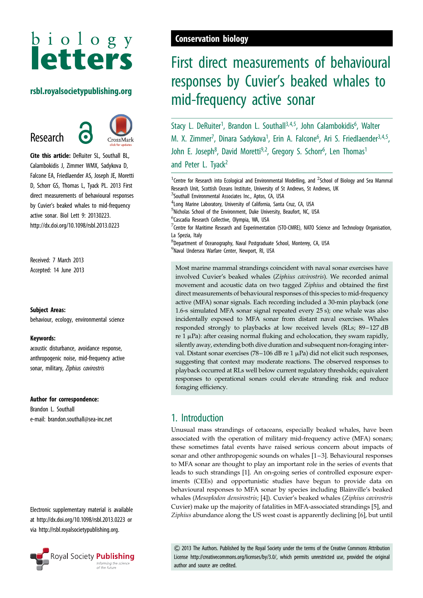# $b$  i o  $l$  o  $g$   $y$ **letters**

### rsbl.royalsocietypublishing.org

## Research



Cite this article: DeRuiter SL, Southall BL, Calambokidis J, Zimmer WMX, Sadykova D, Falcone EA, Friedlaender AS, Joseph JE, Moretti D, Schorr GS, Thomas L, Tyack PL. 2013 First direct measurements of behavioural responses by Cuvier's beaked whales to mid-frequency active sonar. Biol Lett 9: 20130223. http://dx.doi.org/10.1098/rsbl.2013.0223

Received: 7 March 2013 Accepted: 14 June 2013

### Subject Areas:

behaviour, ecology, environmental science

#### Keywords:

acoustic disturbance, avoidance response, anthropogenic noise, mid-frequency active sonar, military, Ziphius cavirostris

### Author for correspondence:

Brandon L. Southall e-mail: [brandon.southall@sea-inc.net](mailto:brandon.southall@sea-inc.net)

Electronic supplementary material is available at<http://dx.doi.org/10.1098/rsbl.2013.0223> or via<http://rsbl.royalsocietypublishing.org>.



## Conservation biology

## First direct measurements of behavioural responses by Cuvier's beaked whales to mid-frequency active sonar

Stacy L. DeRuiter<sup>1</sup>, Brandon L. Southall<sup>3,4,5</sup>, John Calambokidis<sup>6</sup>, Walter M. X. Zimmer<sup>7</sup>, Dinara Sadykova<sup>1</sup>, Erin A. Falcone<sup>6</sup>, Ari S. Friedlaender<sup>3,4,5</sup>, John E. Joseph<sup>8</sup>, David Moretti<sup>9,2</sup>, Gregory S. Schorr<sup>6</sup>, Len Thomas<sup>1</sup> and Peter L. Tyack<sup>2</sup>

<sup>1</sup> Centre for Research into Ecological and Environmental Modelling, and <sup>2</sup> School of Biology and Sea Mammal Research Unit, Scottish Oceans Institute, University of St Andrews, St Andrews, UK <sup>3</sup>Southall Environmental Associates Inc., Aptos, CA, USA 4 Long Marine Laboratory, University of California, Santa Cruz, CA, USA 5 Nicholas School of the Environment, Duke University, Beaufort, NC, USA 6 Cascadia Research Collective, Olympia, WA, USA  $^7$ Centre for Maritime Research and Experimentation (STO-CMRE), NATO Science and Technology Organisation, La Spezia, Italy 8 Department of Oceanography, Naval Postgraduate School, Monterey, CA, USA 9 Naval Undersea Warfare Center, Newport, RI, USA Most marine mammal strandings coincident with naval sonar exercises have involved Cuvier's beaked whales (Ziphius cavirostris). We recorded animal movement and acoustic data on two tagged Ziphius and obtained the first direct measurements of behavioural responses of this species to mid-frequency active (MFA) sonar signals. Each recording included a 30-min playback (one 1.6-s simulated MFA sonar signal repeated every 25 s); one whale was also incidentally exposed to MFA sonar from distant naval exercises. Whales responded strongly to playbacks at low received levels (RLs; 89–127 dB

re  $1 \mu$ Pa): after ceasing normal fluking and echolocation, they swam rapidly, silently away, extending both dive duration and subsequent non-foraging interval. Distant sonar exercises (78-106 dB re 1  $\mu$ Pa) did not elicit such responses, suggesting that context may moderate reactions. The observed responses to playback occurred at RLs well below current regulatory thresholds; equivalent responses to operational sonars could elevate stranding risk and reduce foraging efficiency.

## 1. Introduction

Unusual mass strandings of cetaceans, especially beaked whales, have been associated with the operation of military mid-frequency active (MFA) sonars; these sometimes fatal events have raised serious concern about impacts of sonar and other anthropogenic sounds on whales [[1](#page-3-0) –[3\]](#page-3-0). Behavioural responses to MFA sonar are thought to play an important role in the series of events that leads to such strandings [[1](#page-3-0)]. An on-going series of controlled exposure experiments (CEEs) and opportunistic studies have begun to provide data on behavioural responses to MFA sonar by species including Blainville's beaked whales (Mesoplodon densirostris; [[4](#page-3-0)]). Cuvier's beaked whales (Ziphius cavirostris Cuvier) make up the majority of fatalities in MFA-associated strandings [[5](#page-3-0)], and Ziphius abundance along the US west coast is apparently declining [[6](#page-3-0)], but until

& 2013 The Authors. Published by the Royal Society under the terms of the Creative Commons Attribution License http://creativecommons.org/licenses/by/3.0/, which permits unrestricted use, provided the original author and source are credited.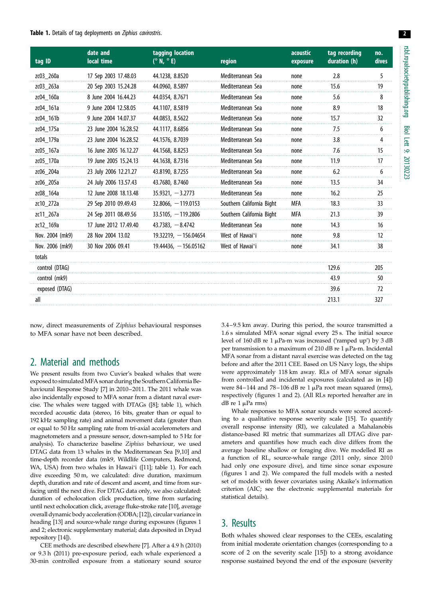#### Table 1. Details of tag deployments on Ziphius cavirostris.

| tag ID          | date and<br>local time | tagging location<br>$(^{\circ}N,~^{\circ}E)$ | region                    | acoustic<br>exposure | tag recording<br>duration (h) | no.<br>dives |
|-----------------|------------------------|----------------------------------------------|---------------------------|----------------------|-------------------------------|--------------|
| zc03_260a       | 17 Sep 2003 17.48.03   | 44.1238, 8.8520                              | Mediterranean Sea         | none                 | 2.8                           | 5            |
| zc03_263a       | 20 Sep 2003 15.24.28   | 44.0960, 8.5897                              | Mediterranean Sea         | none                 | 15.6                          | 19           |
| zc04_160a       | 8 June 2004 16.44.23   | 44.0354, 8.7671                              | Mediterranean Sea         | none                 | 5.6                           | 8            |
| zc04 161a       | 9 June 2004 12.58.05   | 44.1107, 8.5819                              | Mediterranean Sea         | none                 | 8.9                           | 18           |
| zc04_161b       | 9 June 2004 14.07.37   | 44.0853, 8.5622                              | Mediterranean Sea         | none                 | 15.7                          | 32           |
| zc04 175a       | 23 June 2004 16.28.52  | 44.1117, 8.6856                              | Mediterranean Sea         | none                 | 7.5                           | 6            |
| zc04 179a       | 23 June 2004 16.28.52  | 44.1576, 8.7039                              | Mediterranean Sea         | none                 | 3.8                           | 4            |
| zc05 167a       | 16 June 2005 16.12.27  | 44.1568, 8.8253                              | Mediterranean Sea         | none                 | 7.6                           | 15           |
| zc05 170a       | 19 June 2005 15.24.13  | 44.1638, 8.7316                              | Mediterranean Sea         | none                 | 11.9                          | 17           |
| zc06 204a       | 23 July 2006 12.21.27  | 43.8190, 8.7255                              | Mediterranean Sea         | none                 | 6.2                           | 6            |
| zc06 205a       | 24 July 2006 13.57.43  | 43.7680, 8.7460                              | Mediterranean Sea         | none                 | 13.5                          | 34           |
| zc08 164a       | 12 June 2008 18.13.48  | $35.9321, -3.2773$                           | Mediterranean Sea         | none                 | 16.2                          | 25           |
| zc10 272a       | 29 Sep 2010 09.49.43   | $32.8066, -119.0153$                         | Southern California Bight | MFA                  | 18.3                          | 33           |
| zc11 267a       | 24 Sep 2011 08.49.56   | $33.5105, -119.2806$                         | Southern California Bight | MFA                  | 21.3                          | 39           |
| zc12 169a       | 17 June 2012 17.49.40  | $43.7383, -8.4742$                           | Mediterranean Sea         | none                 | 14.3                          | 16           |
| Nov. 2004 (mk9) | 28 Nov 2004 13.02      | $19.32219, -156.04654$                       | West of Hawai'i           | none                 | 9.8                           | 12           |
| Nov. 2006 (mk9) | 30 Nov 2006 09.41      | $19.44436, -156.05162$                       | West of Hawai'i           | none                 | 34.1                          | 38           |
| totals          |                        |                                              |                           |                      |                               |              |
| control (DTAG)  |                        |                                              |                           |                      | 129.6                         | 205          |
| control (mk9)   |                        |                                              |                           |                      | 43.9                          | 50           |
| exposed (DTAG)  |                        |                                              |                           |                      | 39.6                          | 72           |
| all             |                        |                                              |                           |                      | 213.1                         | 327          |
|                 |                        |                                              |                           |                      |                               |              |

now, direct measurements of Ziphius behavioural responses to MFA sonar have not been described.

### 2. Material and methods

We present results from two Cuvier's beaked whales that were exposed to simulatedMFA sonar during the Southern California Behavioural Response Study [\[7](#page-3-0)] in 2010–2011. The 2011 whale was also incidentally exposed to MFA sonar from a distant naval exercise. The whales were tagged with DTAGs ([[8\]](#page-3-0); table 1), which recorded acoustic data (stereo, 16 bits, greater than or equal to 192 kHz sampling rate) and animal movement data (greater than or equal to 50 Hz sampling rate from tri-axial accelerometers and magnetometers and a pressure sensor, down-sampled to 5 Hz for analysis). To characterize baseline Ziphius behaviour, we used DTAG data from 13 whales in the Mediterranean Sea [\[9,10\]](#page-3-0) and time-depth recorder data (mk9, Wildlife Computers, Redmond, WA, USA) from two whales in Hawai'i ([[11](#page-3-0)]; table 1). For each dive exceeding 50 m, we calculated: dive duration, maximum depth, duration and rate of descent and ascent, and time from surfacing until the next dive. For DTAG data only, we also calculated: duration of echolocation click production, time from surfacing until next echolocation click, average fluke-stroke rate [\[10\]](#page-3-0), average overall dynamic body acceleration (ODBA; [[12\]](#page-3-0)), circular variance in heading [\[13\]](#page-4-0) and source-whale range during exposures (figures [1](#page-2-0) and [2;](#page-2-0) electronic supplementary material; data deposited in Dryad repository [\[14\]](#page-4-0)).

CEE methods are described elsewhere [\[7\]](#page-3-0). After a 4.9 h (2010) or 9.3 h (2011) pre-exposure period, each whale experienced a 30-min controlled exposure from a stationary sound source

3.4– 9.5 km away. During this period, the source transmitted a 1.6 s simulated MFA sonar signal every 25 s. The initial source level of 160 dB re 1  $\mu$ Pa-m was increased ('ramped up') by 3 dB per transmission to a maximum of 210 dB re 1  $\mu$ Pa-m. Incidental MFA sonar from a distant naval exercise was detected on the tag before and after the 2011 CEE. Based on US Navy logs, the ships were approximately 118 km away. RLs of MFA sonar signals from controlled and incidental exposures (calculated as in [\[4](#page-3-0)]) were  $84-144$  and  $78-106$  dB re 1  $\mu$ Pa root mean squared (rms), respectively (figures [1](#page-2-0) and [2](#page-2-0)). (All RLs reported hereafter are in dB re  $1 \mu$ Pa rms)

Whale responses to MFA sonar sounds were scored according to a qualitative response severity scale [\[15\]](#page-4-0). To quantify overall response intensity (RI), we calculated a Mahalanobis distance-based RI metric that summarizes all DTAG dive parameters and quantifies how much each dive differs from the average baseline shallow or foraging dive. We modelled RI as a function of RL, source-whale range (2011 only, since 2010 had only one exposure dive), and time since sonar exposure (figures [1](#page-2-0) and [2\)](#page-2-0). We compared the full models with a nested set of models with fewer covariates using Akaike's information criterion (AIC; see the electronic supplemental materials for statistical details).

## 3. Results

Both whales showed clear responses to the CEEs, escalating from initial moderate orientation changes (corresponding to a score of 2 on the severity scale [\[15\]](#page-4-0)) to a strong avoidance response sustained beyond the end of the exposure (severity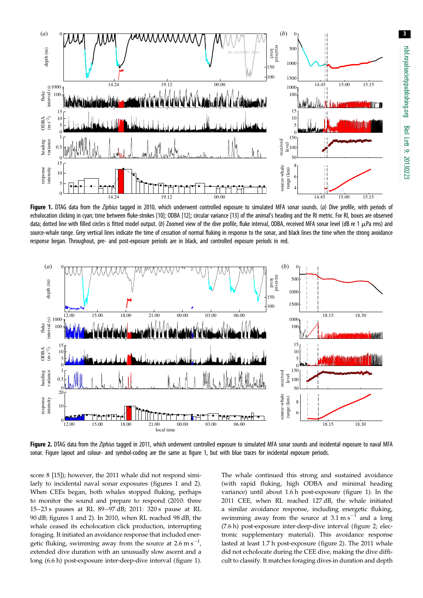3

<span id="page-2-0"></span>

Figure 1. DTAG data from the Ziphius tagged in 2010, which underwent controlled exposure to simulated MFA sonar sounds. (a) Dive profile, with periods of echolocation clicking in cyan; time between fluke-strokes [\[10\]](#page-3-0); ODBA [\[12\]](#page-3-0); circular variance [\[13\]](#page-4-0) of the animal's heading and the RI metric. For RI, boxes are observed data; dotted line with filled circles is fitted model output. (b) Zoomed view of the dive profile, fluke interval, ODBA, received MFA sonar level (dB re 1 µPa rms) and source-whale range. Grey vertical lines indicate the time of cessation of normal fluking in response to the sonar, and black lines the time when the strong avoidance response began. Throughout, pre- and post-exposure periods are in black, and controlled exposure periods in red.



Figure 2. DTAG data from the Ziphius tagged in 2011, which underwent controlled exposure to simulated MFA sonar sounds and incidental exposure to naval MFA sonar. Figure layout and colour- and symbol-coding are the same as figure 1, but with blue traces for incidental exposure periods.

score 8 [[15\]](#page-4-0)); however, the 2011 whale did not respond similarly to incidental naval sonar exposures (figures 1 and 2). When CEEs began, both whales stopped fluking, perhaps to monitor the sound and prepare to respond (2010: three 15–23 s pauses at RL 89–97 dB; 2011: 320 s pause at RL 90 dB; figures 1 and 2). In 2010, when RL reached 98 dB, the whale ceased its echolocation click production, interrupting foraging. It initiated an avoidance response that included energetic fluking, swimming away from the source at 2.6 m s<sup>-1</sup>, extended dive duration with an unusually slow ascent and a long (6.6 h) post-exposure inter-deep-dive interval (figure 1). The whale continued this strong and sustained avoidance (with rapid fluking, high ODBA and minimal heading variance) until about 1.6 h post-exposure (figure 1). In the 2011 CEE, when RL reached 127 dB, the whale initiated a similar avoidance response, including energetic fluking, swimming away from the source at  $3.1 \text{ m s}^{-1}$  and a long (7.6 h) post-exposure inter-deep-dive interval (figure 2; electronic supplementary material). This avoidance response lasted at least 1.7 h post-exposure (figure 2). The 2011 whale did not echolocate during the CEE dive, making the dive difficult to classify. It matches foraging dives in duration and depth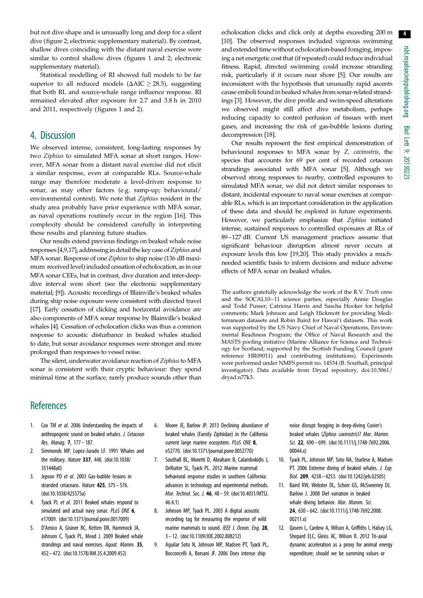<span id="page-3-0"></span>but not dive shape and is unusually long and deep for a silent dive [\(figure 2](#page-2-0); electronic supplementary material). By contrast, shallow dives coinciding with the distant naval exercise were similar to control shallow dives (figures [1](#page-2-0) and [2](#page-2-0); electronic supplementary material).

Statistical modelling of RI showed full models to be far superior to all reduced models ( $\Delta {\rm AIC} \ge 28.5$ ), suggesting that both RL and source-whale range influence response. RI remained elevated after exposure for 2.7 and 3.8 h in 2010 and 2011, respectively (figures [1](#page-2-0) and [2](#page-2-0)).

### 4. Discussion

We observed intense, consistent, long-lasting responses by two Ziphius to simulated MFA sonar at short ranges. However, MFA sonar from a distant naval exercise did not elicit a similar response, even at comparable RLs. Source-whale range may therefore moderate a level-driven response to sonar, as may other factors (e.g. ramp-up; behavioural/ environmental context). We note that Ziphius resident in the study area probably have prior experience with MFA sonar, as naval operations routinely occur in the region [[16\]](#page-4-0). This complexity should be considered carefully in interpreting these results and planning future studies.

Our results extend previous findings on beaked whale noise responses [4,9[,17](#page-4-0)], addressing in detail the key case of Ziphius and MFA sonar. Response of one Ziphius to ship noise (136 dB maximum received level) included cessation of echolocation, as in our MFA sonar CEEs, but in contrast, dive duration and inter-deepdive interval were short (see the electronic supplementary material; [9]). Acoustic recordings of Blainville's beaked whales during ship noise exposure were consistent with directed travel [\[17\]](#page-4-0). Early cessation of clicking and horizontal avoidance are also components of MFA sonar response by Blainville's beaked whales [4]. Cessation of echolocation clicks was thus a common response to acoustic disturbance in beaked whales studied to date, but sonar avoidance responses were stronger and more prolonged than responses to vessel noise.

The silent, underwater avoidance reaction of Ziphius to MFA sonar is consistent with their cryptic behaviour: they spend minimal time at the surface, rarely produce sounds other than echolocation clicks and click only at depths exceeding 200 m [10]. The observed responses included vigorous swimming and extended time without echolocation-based foraging, imposing a net energetic cost that (if repeated) could reduce individual fitness. Rapid, directed swimming could increase stranding risk, particularly if it occurs near shore [5]. Our results are inconsistent with the hypothesis that unusually rapid ascents cause emboli found in beaked whales from sonar-related strandings [3]. However, the dive profile and swim-speed alterations we observed might still affect dive metabolism, perhaps reducing capacity to control perfusion of tissues with inert gases, and increasing the risk of gas-bubble lesions during decompression [[18\]](#page-4-0).

Our results represent the first empirical demonstration of behavioural responses to MFA sonar by Z. cavirostris, the species that accounts for 69 per cent of recorded cetacean strandings associated with MFA sonar [5]. Although we observed strong responses to nearby, controlled exposures to simulated MFA sonar, we did not detect similar responses to distant, incidental exposure to naval sonar exercises at comparable RLs, which is an important consideration in the application of these data and should be explored in future experiments. However, we particularly emphasize that Ziphius initiated intense, sustained responses to controlled exposures at RLs of 89–127 dB. Current US management practices assume that significant behaviour disruption almost never occurs at exposure levels this low [[19,20\]](#page-4-0). This study provides a muchneeded scientific basis to inform decisions and reduce adverse effects of MFA sonar on beaked whales.

The authors gratefully acknowledge the work of the R.V. Truth crew and the SOCAL10–11 science parties, especially Annie Douglas and Todd Pusser; Catriona Harris and Sascha Hooker for helpful comments; Mark Johnson and Leigh Hickmott for providing Mediterranean datasets and Robin Baird for Hawai'i datasets. This work was supported by the US Navy Chief of Naval Operations, Environmental Readiness Program; the Office of Naval Research and the MASTS pooling initiative (Marine Alliance for Science and Technology for Scotland; supported by the Scottish Funding Council (grant reference HR09011) and contributing institutions). Experiments were performed under NMFS permit no. 14534 (B. Southall, principal investigator). Data available from Dryad repository, [doi:10.5061/](http://dx.doi.org/10.5061/dryad.n77k3) [dryad.n77k3.](http://dx.doi.org/10.5061/dryad.n77k3)

## **References**

- 1. Cox TM et al. 2006 Understanding the impacts of anthropogenic sound on beaked whales. J. Cetacean Res. Manag. 7, 177– 187.
- 2. Simmonds MP, Lopez-Jurado LF. 1991 Whales and the military. Nature 337, 448. ([doi:10.1038/](http://dx.doi.org/10.1038/351448a0) [351448a0\)](http://dx.doi.org/10.1038/351448a0)
- 3. Jepson PD et al. 2003 Gas-bubble lesions in stranded cetaceans. Nature 425, 575-576. [\(doi:10.1038/425575a](http://dx.doi.org/10.1038/425575a))
- 4. Tyack PL et al. 2011 Beaked whales respond to simulated and actual navy sonar. PLoS ONE 6, e17009. [\(doi:10.1371/journal.pone.0017009](http://dx.doi.org/10.1371/journal.pone.0017009))
- 5. D'Amico A, Gisiner RC, Ketten DR, Hammock JA, Johnson C, Tyack PL, Mead J. 2009 Beaked whale strandings and naval exercises. Aquat. Mamm. 35, 452– 472. ([doi:10.1578/AM.35.4.2009.452\)](http://dx.doi.org/10.1578/AM.35.4.2009.452)
- 6. Moore JE, Barlow JP. 2013 Declining abundance of beaked whales (Family Ziphiidae) in the California current large marine ecosystem. PLoS ONE 8, e52770. ([doi:10.1371/journal.pone.0052770](http://dx.doi.org/10.1371/journal.pone.0052770))
- 7. Southall BL, Moretti D, Abraham B, Calambokidis J, DeRuiter SL, Tyack PL. 2012 Marine mammal behavioral response studies in southern California: advances in technology and experimental methods. Mar. Technol. Soc. J. 46, 48– 59. ([doi:10.4031/MTSJ.](http://dx.doi.org/10.4031/MTSJ.46.4.1) [46.4.1\)](http://dx.doi.org/10.4031/MTSJ.46.4.1)
- 8. Johnson MP, Tyack PL. 2003 A digital acoustic recording tag for measuring the response of wild marine mammals to sound. IEEE J. Ocean. Eng. 28, 3 – 12. [\(doi:10.1109/JOE.2002.808212](http://dx.doi.org/10.1109/JOE.2002.808212))
- 9. Aguilar Soto N, Johnson MP, Madsen PT, Tyack PL, Bocconcelli A, Borsani JF. 2006 Does intense ship

noise disrupt foraging in deep-diving Cuvier's beaked whales (Ziphius cavirostris)? Mar. Mamm. Sci. 22, 690-699. [\(doi:10.1111/j.1748-7692.2006.](http://dx.doi.org/10.1111/j.1748-7692.2006.00044.x) [00044.x](http://dx.doi.org/10.1111/j.1748-7692.2006.00044.x))

- 10. Tyack PL, Johnson MP, Soto NA, Sturlese A, Madsen PT. 2006 Extreme diving of beaked whales. J. Exp. Biol. 209, 4238– 4253. ([doi:10.1242/jeb.02505](http://dx.doi.org/10.1242/jeb.02505))
- 11. Baird RW, Webster DL, Schorr GS, McSweeney DJ, Barlow J. 2008 Diel variation in beaked whale diving behavior. Mar. Mamm. Sci. 24, 630 – 642. [\(doi:10.1111/j.1748-7692.2008.](http://dx.doi.org/10.1111/j.1748-7692.2008.00211.x) [00211.x](http://dx.doi.org/10.1111/j.1748-7692.2008.00211.x))
- 12. Qasem L, Cardew A, Wilson A, Griffiths I, Halsey LG, Shepard ELC, Gleiss AC, Wilson R. 2012 Tri-axial dynamic acceleration as a proxy for animal energy expenditure; should we be summing values or